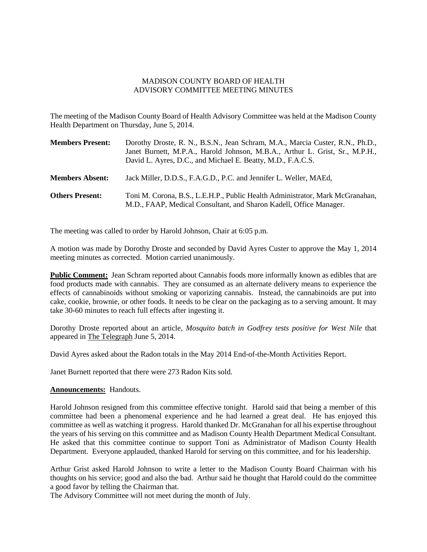## MADISON COUNTY BOARD OF HEALTH ADVISORY COMMITTEE MEETING MINUTES

The meeting of the Madison County Board of Health Advisory Committee was held at the Madison County Health Department on Thursday, June 5, 2014.

| <b>Members Present:</b> | Dorothy Droste, R. N., B.S.N., Jean Schram, M.A., Marcia Custer, R.N., Ph.D.,<br>Janet Burnett, M.P.A., Harold Johnson, M.B.A., Arthur L. Grist, Sr., M.P.H.,<br>David L. Ayres, D.C., and Michael E. Beatty, M.D., F.A.C.S. |
|-------------------------|------------------------------------------------------------------------------------------------------------------------------------------------------------------------------------------------------------------------------|
| <b>Members Absent:</b>  | Jack Miller, D.D.S., F.A.G.D., P.C. and Jennifer L. Weller, MAEd,                                                                                                                                                            |
| <b>Others Present:</b>  | Toni M. Corona, B.S., L.E.H.P., Public Health Administrator, Mark McGranahan,<br>M.D., FAAP, Medical Consultant, and Sharon Kadell, Office Manager.                                                                          |

The meeting was called to order by Harold Johnson, Chair at 6:05 p.m.

A motion was made by Dorothy Droste and seconded by David Ayres Custer to approve the May 1, 2014 meeting minutes as corrected. Motion carried unanimously.

**Public Comment:** Jean Schram reported about Cannabis foods more informally known as edibles that are food products made with cannabis. They are consumed as an alternate delivery means to experience the effects of cannabinoids without smoking or vaporizing cannabis. Instead, the cannabinoids are put into cake, cookie, brownie, or other foods. It needs to be clear on the packaging as to a serving amount. It may take 30-60 minutes to reach full effects after ingesting it.

Dorothy Droste reported about an article, *Mosquito batch in Godfrey tests positive for West Nile* that appeared in The Telegraph June 5, 2014.

David Ayres asked about the Radon totals in the May 2014 End-of-the-Month Activities Report.

Janet Burnett reported that there were 273 Radon Kits sold.

## **Announcements:** Handouts.

Harold Johnson resigned from this committee effective tonight. Harold said that being a member of this committee had been a phenomenal experience and he had learned a great deal. He has enjoyed this committee as well as watching it progress. Harold thanked Dr. McGranahan for all his expertise throughout the years of his serving on this committee and as Madison County Health Department Medical Consultant. He asked that this committee continue to support Toni as Administrator of Madison County Health Department. Everyone applauded, thanked Harold for serving on this committee, and for his leadership.

Arthur Grist asked Harold Johnson to write a letter to the Madison County Board Chairman with his thoughts on his service; good and also the bad. Arthur said he thought that Harold could do the committee a good favor by telling the Chairman that.

The Advisory Committee will not meet during the month of July.